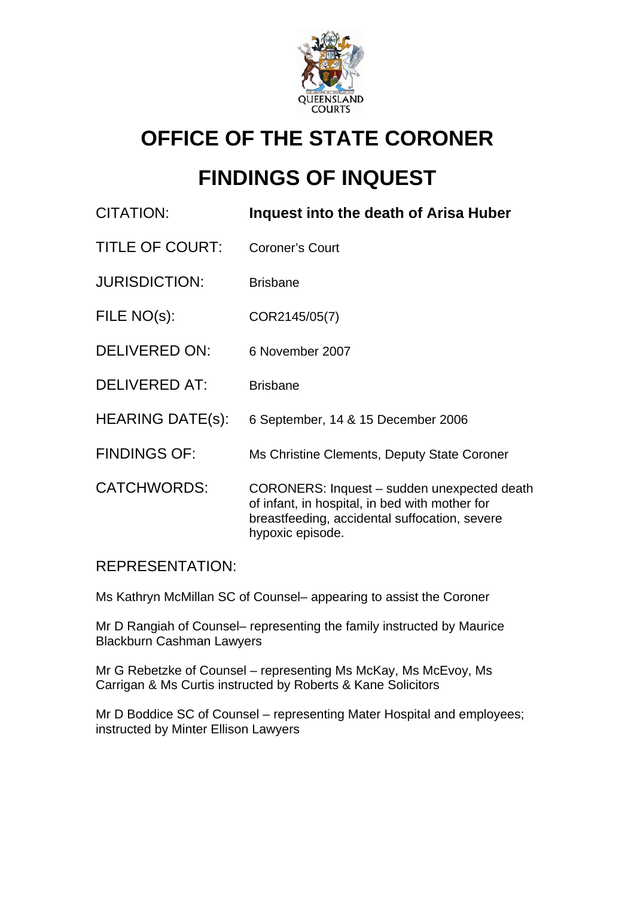

# **OFFICE OF THE STATE CORONER**

# **FINDINGS OF INQUEST**

| CITATION:               | Inquest into the death of Arisa Huber                                                                                                                              |
|-------------------------|--------------------------------------------------------------------------------------------------------------------------------------------------------------------|
| <b>TITLE OF COURT:</b>  | <b>Coroner's Court</b>                                                                                                                                             |
| <b>JURISDICTION:</b>    | <b>Brisbane</b>                                                                                                                                                    |
| FILE NO(s):             | COR2145/05(7)                                                                                                                                                      |
| <b>DELIVERED ON:</b>    | 6 November 2007                                                                                                                                                    |
| <b>DELIVERED AT:</b>    | <b>Brisbane</b>                                                                                                                                                    |
| <b>HEARING DATE(s):</b> | 6 September, 14 & 15 December 2006                                                                                                                                 |
| <b>FINDINGS OF:</b>     | Ms Christine Clements, Deputy State Coroner                                                                                                                        |
| <b>CATCHWORDS:</b>      | CORONERS: Inquest – sudden unexpected death<br>of infant, in hospital, in bed with mother for<br>breastfeeding, accidental suffocation, severe<br>hypoxic episode. |

## REPRESENTATION:

Ms Kathryn McMillan SC of Counsel– appearing to assist the Coroner

Mr D Rangiah of Counsel– representing the family instructed by Maurice Blackburn Cashman Lawyers

Mr G Rebetzke of Counsel – representing Ms McKay, Ms McEvoy, Ms Carrigan & Ms Curtis instructed by Roberts & Kane Solicitors

Mr D Boddice SC of Counsel – representing Mater Hospital and employees; instructed by Minter Ellison Lawyers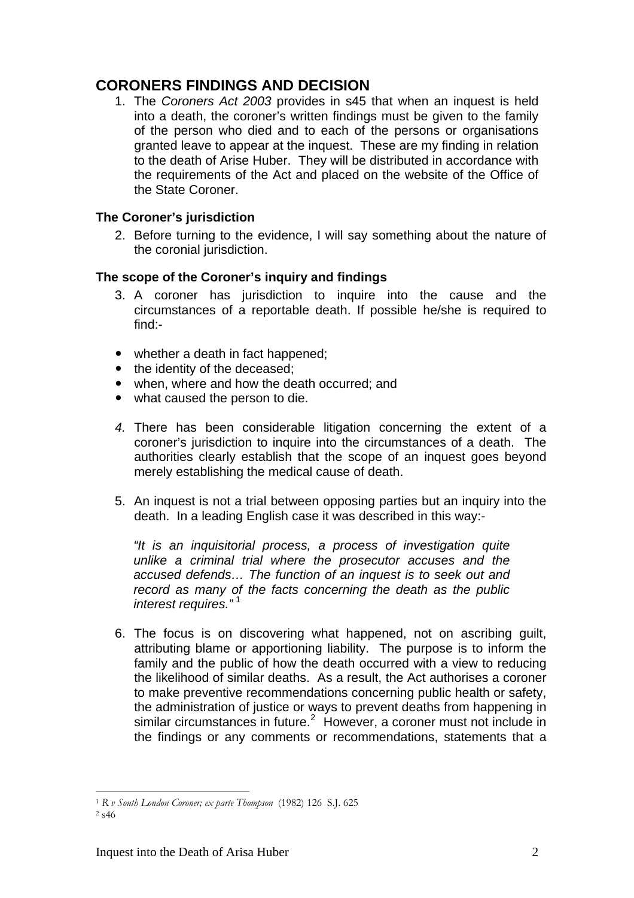## **CORONERS FINDINGS AND DECISION**

1. The *Coroners Act 2003* provides in s45 that when an inquest is held into a death, the coroner's written findings must be given to the family of the person who died and to each of the persons or organisations granted leave to appear at the inquest. These are my finding in relation to the death of Arise Huber. They will be distributed in accordance with the requirements of the Act and placed on the website of the Office of the State Coroner.

### **The Coroner's jurisdiction**

2. Before turning to the evidence, I will say something about the nature of the coronial jurisdiction.

### **The scope of the Coroner's inquiry and findings**

- 3. A coroner has jurisdiction to inquire into the cause and the circumstances of a reportable death. If possible he/she is required to find:-
- $\bullet$  whether a death in fact happened;
- the identity of the deceased:
- when, where and how the death occurred; and
- what caused the person to die.
- *4.* There has been considerable litigation concerning the extent of a coroner's jurisdiction to inquire into the circumstances of a death. The authorities clearly establish that the scope of an inquest goes beyond merely establishing the medical cause of death.
- 5. An inquest is not a trial between opposing parties but an inquiry into the death. In a leading English case it was described in this way:-

*"It is an inquisitorial process, a process of investigation quite unlike a criminal trial where the prosecutor accuses and the accused defends… The function of an inquest is to seek out and record as many of the facts concerning the death as the public interest requires."* [1](#page-1-0)

6. The focus is on discovering what happened, not on ascribing guilt, attributing blame or apportioning liability. The purpose is to inform the family and the public of how the death occurred with a view to reducing the likelihood of similar deaths. As a result, the Act authorises a coroner to make preventive recommendations concerning public health or safety, the administration of justice or ways to prevent deaths from happening in similar circumstances in future. $2$  However, a coroner must not include in the findings or any comments or recommendations, statements that a

 $\overline{a}$ <sup>1</sup> *R v South London Coroner; ex parte Thompson* (1982) 126 S.J. 625 2 s46

<span id="page-1-1"></span><span id="page-1-0"></span>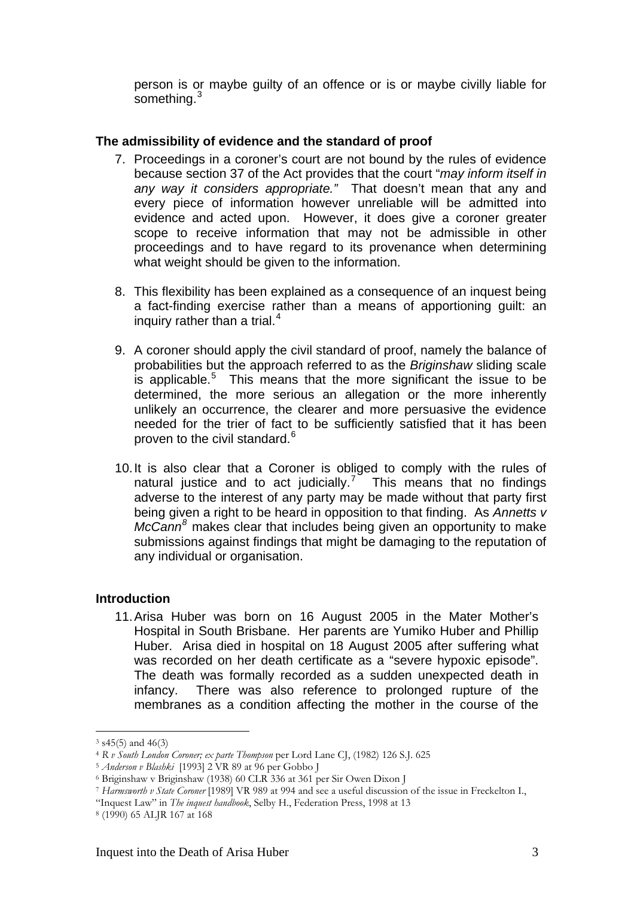person is or maybe guilty of an offence or is or maybe civilly liable for something.<sup>[3](#page-2-0)</sup>

#### **The admissibility of evidence and the standard of proof**

- 7. Proceedings in a coroner's court are not bound by the rules of evidence because section 37 of the Act provides that the court "*may inform itself in any way it considers appropriate."* That doesn't mean that any and every piece of information however unreliable will be admitted into evidence and acted upon. However, it does give a coroner greater scope to receive information that may not be admissible in other proceedings and to have regard to its provenance when determining what weight should be given to the information.
- 8. This flexibility has been explained as a consequence of an inquest being a fact-finding exercise rather than a means of apportioning guilt: an inquiry rather than a trial. $4$
- 9. A coroner should apply the civil standard of proof, namely the balance of probabilities but the approach referred to as the *Briginshaw* sliding scale is applicable.<sup>[5](#page-2-2)</sup> This means that the more significant the issue to be determined, the more serious an allegation or the more inherently unlikely an occurrence, the clearer and more persuasive the evidence needed for the trier of fact to be sufficiently satisfied that it has been proven to the civil standard.<sup>[6](#page-2-3)</sup>
- 10. It is also clear that a Coroner is obliged to comply with the rules of natural justice and to act judicially.<sup>[7](#page-2-4)</sup> This means that no findings adverse to the interest of any party may be made without that party first being given a right to be heard in opposition to that finding. As *Annetts v McCann[8](#page-2-5)* makes clear that includes being given an opportunity to make submissions against findings that might be damaging to the reputation of any individual or organisation.

#### **Introduction**

11. Arisa Huber was born on 16 August 2005 in the Mater Mother's Hospital in South Brisbane. Her parents are Yumiko Huber and Phillip Huber. Arisa died in hospital on 18 August 2005 after suffering what was recorded on her death certificate as a "severe hypoxic episode". The death was formally recorded as a sudden unexpected death in infancy. There was also reference to prolonged rupture of the membranes as a condition affecting the mother in the course of the

<span id="page-2-0"></span> $3$  s45(5) and 46(3)<br> $4$  R v South London Coroner: ex parte Thompson per Lord Lane CI. (1982) 126 S.I. 625

<span id="page-2-2"></span><span id="page-2-1"></span><sup>&</sup>lt;sup>5</sup> *Anderson v Blashki* [1993] 2 VR 89 at 96 per Gobbo J<br><sup>6</sup> Briginshaw v Briginshaw (1938) 60 CLR 336 at 361 per Sir Owen Dixon J

<span id="page-2-4"></span><span id="page-2-3"></span><sup>7</sup> *Harmsworth v State Coroner* [1989] VR 989 at 994 and see a useful discussion of the issue in Freckelton I.,

<sup>&</sup>quot;Inquest Law" in *The inquest handbook*, Selby H., Federation Press, 1998 at 13 8 (1990) 65 ALJR 167 at 168

<span id="page-2-5"></span>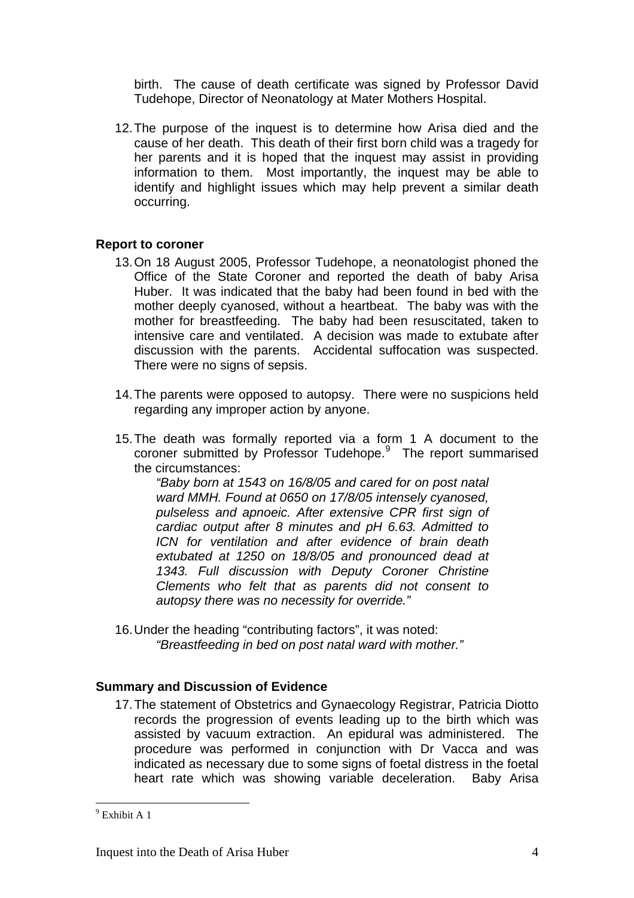birth. The cause of death certificate was signed by Professor David Tudehope, Director of Neonatology at Mater Mothers Hospital.

12. The purpose of the inquest is to determine how Arisa died and the cause of her death. This death of their first born child was a tragedy for her parents and it is hoped that the inquest may assist in providing information to them. Most importantly, the inquest may be able to identify and highlight issues which may help prevent a similar death occurring.

#### **Report to coroner**

- 13. On 18 August 2005, Professor Tudehope, a neonatologist phoned the Office of the State Coroner and reported the death of baby Arisa Huber. It was indicated that the baby had been found in bed with the mother deeply cyanosed, without a heartbeat. The baby was with the mother for breastfeeding. The baby had been resuscitated, taken to intensive care and ventilated. A decision was made to extubate after discussion with the parents. Accidental suffocation was suspected. There were no signs of sepsis.
- 14. The parents were opposed to autopsy. There were no suspicions held regarding any improper action by anyone.
- 15. The death was formally reported via a form 1 A document to the coroner submitted by Professor Tudehope.<sup>[9](#page-3-0)</sup> The report summarised the circumstances:

*"Baby born at 1543 on 16/8/05 and cared for on post natal ward MMH. Found at 0650 on 17/8/05 intensely cyanosed, pulseless and apnoeic. After extensive CPR first sign of cardiac output after 8 minutes and pH 6.63. Admitted to ICN for ventilation and after evidence of brain death extubated at 1250 on 18/8/05 and pronounced dead at 1343. Full discussion with Deputy Coroner Christine Clements who felt that as parents did not consent to autopsy there was no necessity for override."* 

16. Under the heading "contributing factors", it was noted: *"Breastfeeding in bed on post natal ward with mother."* 

#### **Summary and Discussion of Evidence**

17. The statement of Obstetrics and Gynaecology Registrar, Patricia Diotto records the progression of events leading up to the birth which was assisted by vacuum extraction. An epidural was administered. The procedure was performed in conjunction with Dr Vacca and was indicated as necessary due to some signs of foetal distress in the foetal heart rate which was showing variable deceleration. Baby Arisa

<span id="page-3-0"></span> 9 Exhibit A 1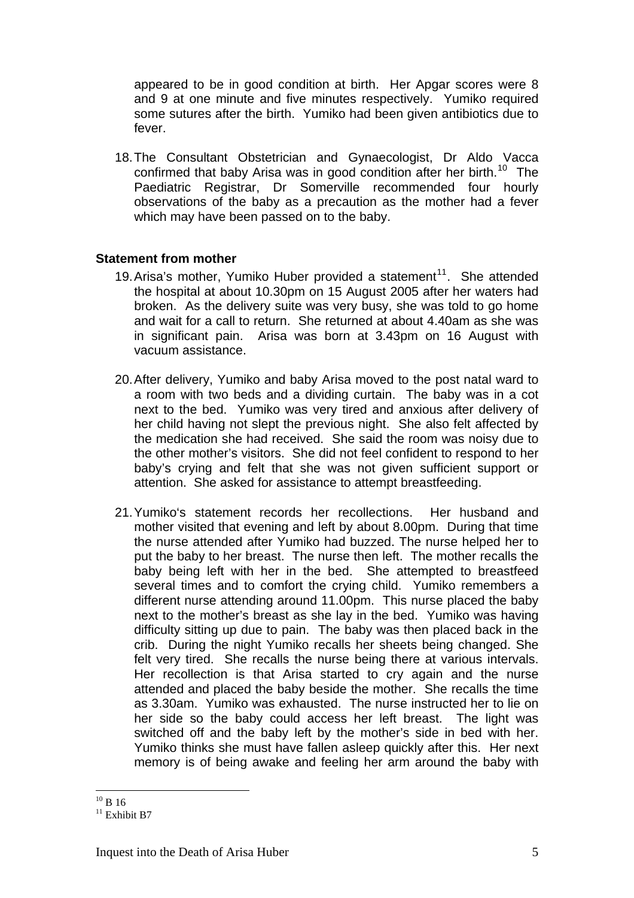appeared to be in good condition at birth. Her Apgar scores were 8 and 9 at one minute and five minutes respectively. Yumiko required some sutures after the birth. Yumiko had been given antibiotics due to fever.

18. The Consultant Obstetrician and Gynaecologist, Dr Aldo Vacca confirmed that baby Arisa was in good condition after her birth.<sup>[10](#page-4-0)</sup> The Paediatric Registrar, Dr Somerville recommended four hourly observations of the baby as a precaution as the mother had a fever which may have been passed on to the baby.

#### **Statement from mother**

- 19. Arisa's mother, Yumiko Huber provided a statement<sup>[11](#page-4-1)</sup>. She attended the hospital at about 10.30pm on 15 August 2005 after her waters had broken. As the delivery suite was very busy, she was told to go home and wait for a call to return. She returned at about 4.40am as she was in significant pain. Arisa was born at 3.43pm on 16 August with vacuum assistance.
- 20. After delivery, Yumiko and baby Arisa moved to the post natal ward to a room with two beds and a dividing curtain. The baby was in a cot next to the bed. Yumiko was very tired and anxious after delivery of her child having not slept the previous night. She also felt affected by the medication she had received. She said the room was noisy due to the other mother's visitors. She did not feel confident to respond to her baby's crying and felt that she was not given sufficient support or attention. She asked for assistance to attempt breastfeeding.
- 21. Yumiko's statement records her recollections. Her husband and mother visited that evening and left by about 8.00pm. During that time the nurse attended after Yumiko had buzzed. The nurse helped her to put the baby to her breast. The nurse then left. The mother recalls the baby being left with her in the bed. She attempted to breastfeed several times and to comfort the crying child. Yumiko remembers a different nurse attending around 11.00pm. This nurse placed the baby next to the mother's breast as she lay in the bed. Yumiko was having difficulty sitting up due to pain. The baby was then placed back in the crib. During the night Yumiko recalls her sheets being changed. She felt very tired. She recalls the nurse being there at various intervals. Her recollection is that Arisa started to cry again and the nurse attended and placed the baby beside the mother. She recalls the time as 3.30am. Yumiko was exhausted. The nurse instructed her to lie on her side so the baby could access her left breast. The light was switched off and the baby left by the mother's side in bed with her. Yumiko thinks she must have fallen asleep quickly after this. Her next memory is of being awake and feeling her arm around the baby with

 $\overline{a}$  $^{10}$  B 16  $\,$ 

<span id="page-4-1"></span><span id="page-4-0"></span> $11$  Exhibit B7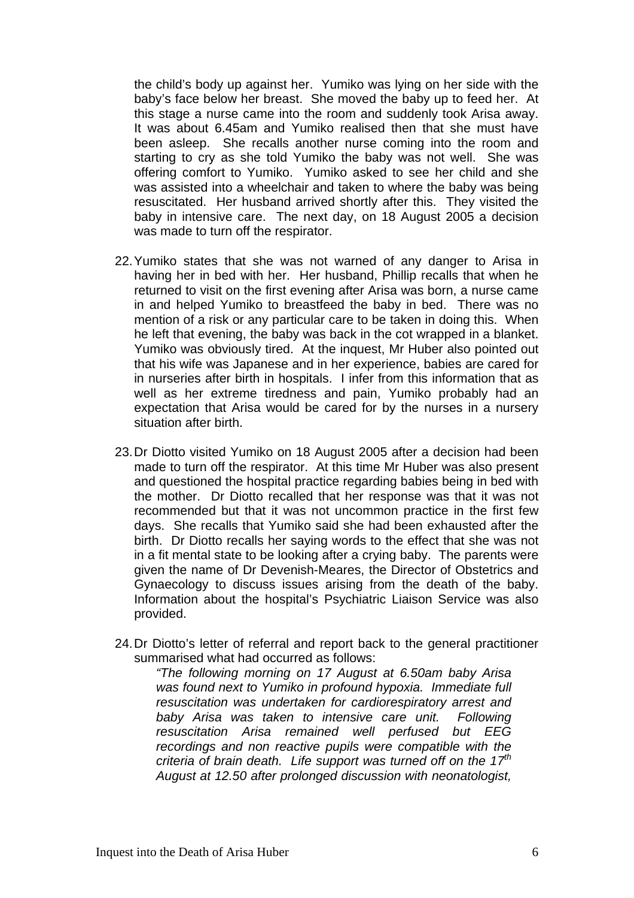the child's body up against her. Yumiko was lying on her side with the baby's face below her breast. She moved the baby up to feed her. At this stage a nurse came into the room and suddenly took Arisa away. It was about 6.45am and Yumiko realised then that she must have been asleep. She recalls another nurse coming into the room and starting to cry as she told Yumiko the baby was not well. She was offering comfort to Yumiko. Yumiko asked to see her child and she was assisted into a wheelchair and taken to where the baby was being resuscitated. Her husband arrived shortly after this. They visited the baby in intensive care. The next day, on 18 August 2005 a decision was made to turn off the respirator.

- 22. Yumiko states that she was not warned of any danger to Arisa in having her in bed with her. Her husband, Phillip recalls that when he returned to visit on the first evening after Arisa was born, a nurse came in and helped Yumiko to breastfeed the baby in bed. There was no mention of a risk or any particular care to be taken in doing this. When he left that evening, the baby was back in the cot wrapped in a blanket. Yumiko was obviously tired. At the inquest, Mr Huber also pointed out that his wife was Japanese and in her experience, babies are cared for in nurseries after birth in hospitals. I infer from this information that as well as her extreme tiredness and pain, Yumiko probably had an expectation that Arisa would be cared for by the nurses in a nursery situation after birth.
- 23. Dr Diotto visited Yumiko on 18 August 2005 after a decision had been made to turn off the respirator. At this time Mr Huber was also present and questioned the hospital practice regarding babies being in bed with the mother. Dr Diotto recalled that her response was that it was not recommended but that it was not uncommon practice in the first few days. She recalls that Yumiko said she had been exhausted after the birth. Dr Diotto recalls her saying words to the effect that she was not in a fit mental state to be looking after a crying baby. The parents were given the name of Dr Devenish-Meares, the Director of Obstetrics and Gynaecology to discuss issues arising from the death of the baby. Information about the hospital's Psychiatric Liaison Service was also provided.
- 24. Dr Diotto's letter of referral and report back to the general practitioner summarised what had occurred as follows:

*"The following morning on 17 August at 6.50am baby Arisa was found next to Yumiko in profound hypoxia. Immediate full resuscitation was undertaken for cardiorespiratory arrest and baby Arisa was taken to intensive care unit. Following resuscitation Arisa remained well perfused but EEG recordings and non reactive pupils were compatible with the criteria of brain death. Life support was turned off on the 17th August at 12.50 after prolonged discussion with neonatologist,*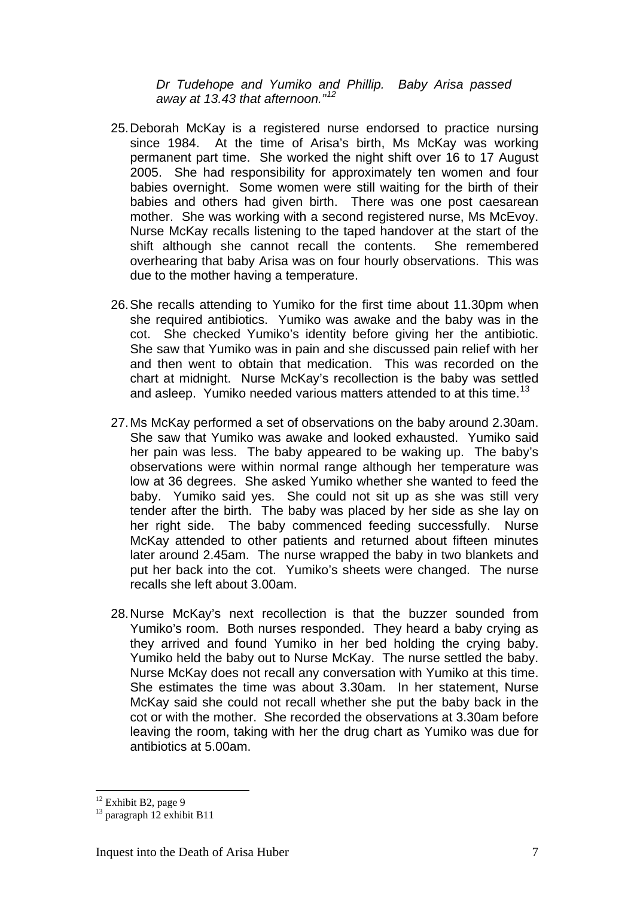*Dr Tudehope and Yumiko and Phillip. Baby Arisa passed away at 13.43 that afternoon."[12](#page-6-0)*

- 25. Deborah McKay is a registered nurse endorsed to practice nursing since 1984. At the time of Arisa's birth, Ms McKay was working permanent part time. She worked the night shift over 16 to 17 August 2005. She had responsibility for approximately ten women and four babies overnight. Some women were still waiting for the birth of their babies and others had given birth. There was one post caesarean mother. She was working with a second registered nurse. Ms McEvoy. Nurse McKay recalls listening to the taped handover at the start of the shift although she cannot recall the contents. She remembered overhearing that baby Arisa was on four hourly observations. This was due to the mother having a temperature.
- 26. She recalls attending to Yumiko for the first time about 11.30pm when she required antibiotics. Yumiko was awake and the baby was in the cot. She checked Yumiko's identity before giving her the antibiotic. She saw that Yumiko was in pain and she discussed pain relief with her and then went to obtain that medication. This was recorded on the chart at midnight. Nurse McKay's recollection is the baby was settled and asleep. Yumiko needed various matters attended to at this time.<sup>[13](#page-6-1)</sup>
- 27. Ms McKay performed a set of observations on the baby around 2.30am. She saw that Yumiko was awake and looked exhausted. Yumiko said her pain was less. The baby appeared to be waking up. The baby's observations were within normal range although her temperature was low at 36 degrees. She asked Yumiko whether she wanted to feed the baby. Yumiko said yes. She could not sit up as she was still very tender after the birth. The baby was placed by her side as she lay on her right side. The baby commenced feeding successfully. Nurse McKay attended to other patients and returned about fifteen minutes later around 2.45am. The nurse wrapped the baby in two blankets and put her back into the cot. Yumiko's sheets were changed. The nurse recalls she left about 3.00am.
- 28. Nurse McKay's next recollection is that the buzzer sounded from Yumiko's room. Both nurses responded. They heard a baby crying as they arrived and found Yumiko in her bed holding the crying baby. Yumiko held the baby out to Nurse McKay. The nurse settled the baby. Nurse McKay does not recall any conversation with Yumiko at this time. She estimates the time was about 3.30am. In her statement, Nurse McKay said she could not recall whether she put the baby back in the cot or with the mother. She recorded the observations at 3.30am before leaving the room, taking with her the drug chart as Yumiko was due for antibiotics at 5.00am.

<span id="page-6-0"></span> $12$  Exhibit B<sub>2</sub>, page 9

<span id="page-6-1"></span> $13$  paragraph  $12$  exhibit B11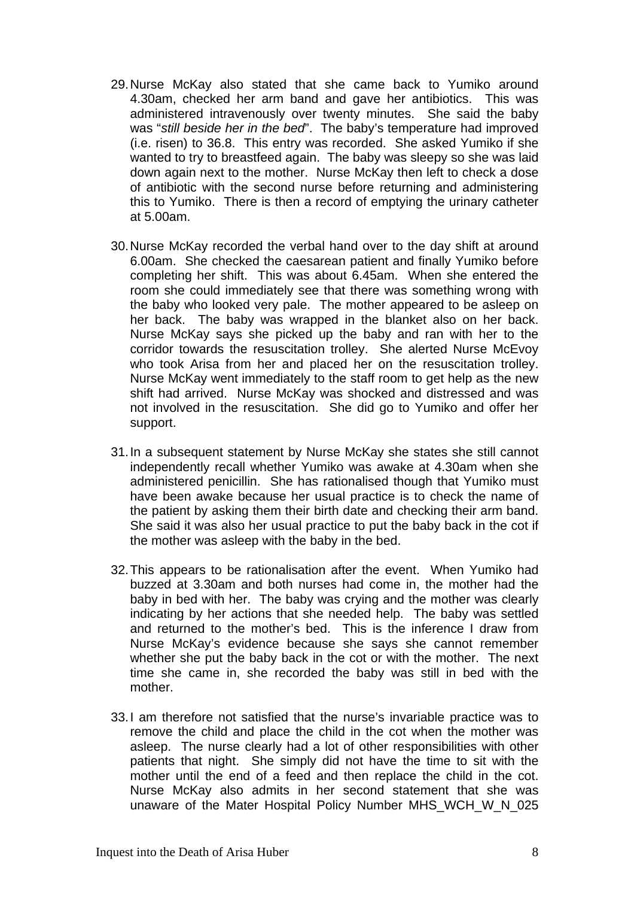- 29. Nurse McKay also stated that she came back to Yumiko around 4.30am, checked her arm band and gave her antibiotics. This was administered intravenously over twenty minutes. She said the baby was "*still beside her in the bed*". The baby's temperature had improved (i.e. risen) to 36.8. This entry was recorded. She asked Yumiko if she wanted to try to breastfeed again. The baby was sleepy so she was laid down again next to the mother. Nurse McKay then left to check a dose of antibiotic with the second nurse before returning and administering this to Yumiko. There is then a record of emptying the urinary catheter at 5.00am.
- 30. Nurse McKay recorded the verbal hand over to the day shift at around 6.00am. She checked the caesarean patient and finally Yumiko before completing her shift. This was about 6.45am. When she entered the room she could immediately see that there was something wrong with the baby who looked very pale. The mother appeared to be asleep on her back. The baby was wrapped in the blanket also on her back. Nurse McKay says she picked up the baby and ran with her to the corridor towards the resuscitation trolley. She alerted Nurse McEvoy who took Arisa from her and placed her on the resuscitation trolley. Nurse McKay went immediately to the staff room to get help as the new shift had arrived. Nurse McKay was shocked and distressed and was not involved in the resuscitation. She did go to Yumiko and offer her support.
- 31. In a subsequent statement by Nurse McKay she states she still cannot independently recall whether Yumiko was awake at 4.30am when she administered penicillin. She has rationalised though that Yumiko must have been awake because her usual practice is to check the name of the patient by asking them their birth date and checking their arm band. She said it was also her usual practice to put the baby back in the cot if the mother was asleep with the baby in the bed.
- 32. This appears to be rationalisation after the event. When Yumiko had buzzed at 3.30am and both nurses had come in, the mother had the baby in bed with her. The baby was crying and the mother was clearly indicating by her actions that she needed help. The baby was settled and returned to the mother's bed. This is the inference I draw from Nurse McKay's evidence because she says she cannot remember whether she put the baby back in the cot or with the mother. The next time she came in, she recorded the baby was still in bed with the mother.
- 33. I am therefore not satisfied that the nurse's invariable practice was to remove the child and place the child in the cot when the mother was asleep. The nurse clearly had a lot of other responsibilities with other patients that night. She simply did not have the time to sit with the mother until the end of a feed and then replace the child in the cot. Nurse McKay also admits in her second statement that she was unaware of the Mater Hospital Policy Number MHS WCH W N 025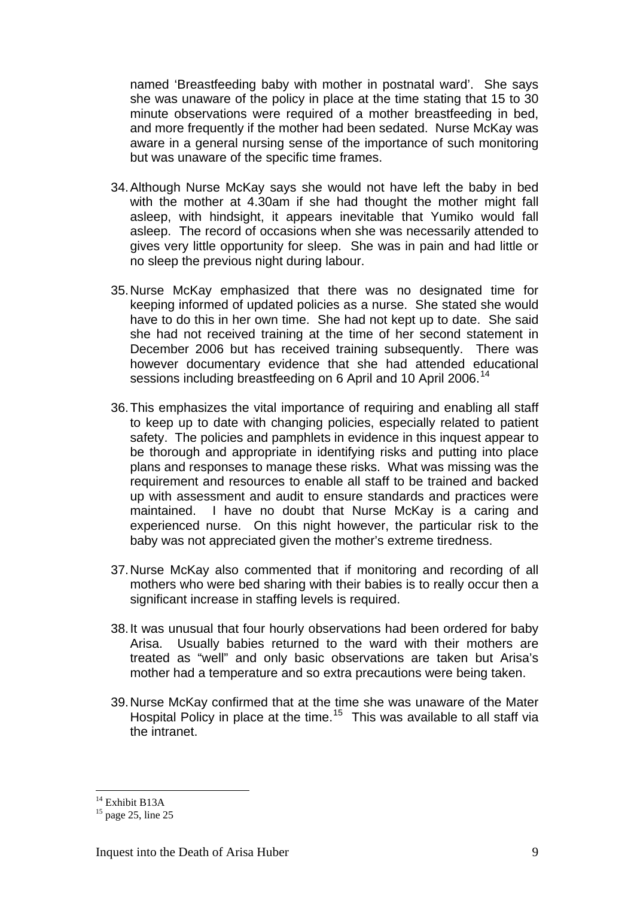named 'Breastfeeding baby with mother in postnatal ward'. She says she was unaware of the policy in place at the time stating that 15 to 30 minute observations were required of a mother breastfeeding in bed, and more frequently if the mother had been sedated. Nurse McKay was aware in a general nursing sense of the importance of such monitoring but was unaware of the specific time frames.

- 34. Although Nurse McKay says she would not have left the baby in bed with the mother at 4.30am if she had thought the mother might fall asleep, with hindsight, it appears inevitable that Yumiko would fall asleep. The record of occasions when she was necessarily attended to gives very little opportunity for sleep. She was in pain and had little or no sleep the previous night during labour.
- 35. Nurse McKay emphasized that there was no designated time for keeping informed of updated policies as a nurse. She stated she would have to do this in her own time. She had not kept up to date. She said she had not received training at the time of her second statement in December 2006 but has received training subsequently. There was however documentary evidence that she had attended educational sessions including breastfeeding on 6 April and 10 April 2006.<sup>[14](#page-8-0)</sup>
- 36. This emphasizes the vital importance of requiring and enabling all staff to keep up to date with changing policies, especially related to patient safety. The policies and pamphlets in evidence in this inquest appear to be thorough and appropriate in identifying risks and putting into place plans and responses to manage these risks. What was missing was the requirement and resources to enable all staff to be trained and backed up with assessment and audit to ensure standards and practices were maintained. I have no doubt that Nurse McKay is a caring and experienced nurse. On this night however, the particular risk to the baby was not appreciated given the mother's extreme tiredness.
- 37. Nurse McKay also commented that if monitoring and recording of all mothers who were bed sharing with their babies is to really occur then a significant increase in staffing levels is required.
- 38. It was unusual that four hourly observations had been ordered for baby Arisa. Usually babies returned to the ward with their mothers are treated as "well" and only basic observations are taken but Arisa's mother had a temperature and so extra precautions were being taken.
- 39. Nurse McKay confirmed that at the time she was unaware of the Mater Hospital Policy in place at the time.<sup>[15](#page-8-1)</sup> This was available to all staff via the intranet.

<sup>&</sup>lt;sup>14</sup> Exhibit B13A

<span id="page-8-1"></span><span id="page-8-0"></span> $15$  page 25, line 25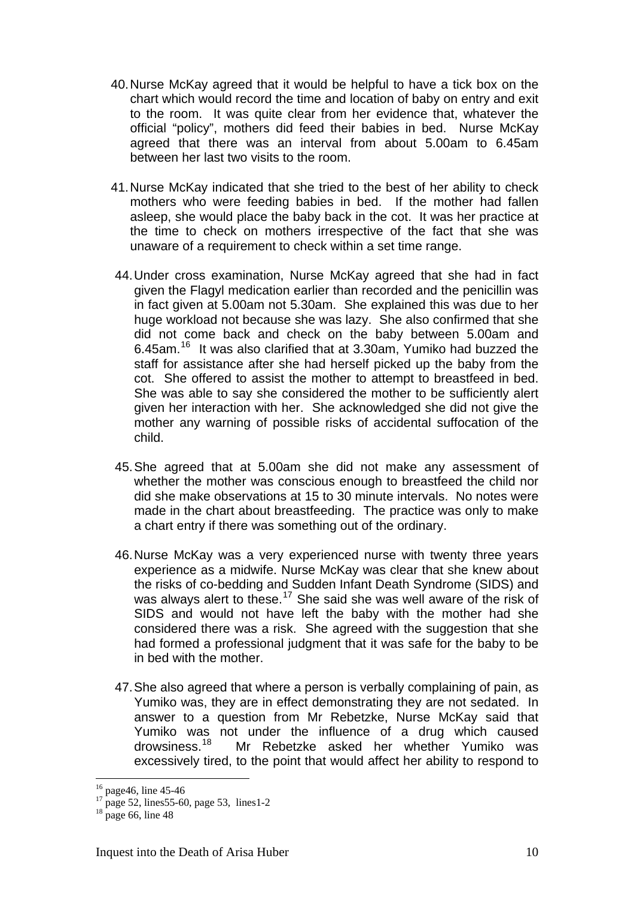- 40. Nurse McKay agreed that it would be helpful to have a tick box on the chart which would record the time and location of baby on entry and exit to the room. It was quite clear from her evidence that, whatever the official "policy", mothers did feed their babies in bed. Nurse McKay agreed that there was an interval from about 5.00am to 6.45am between her last two visits to the room.
- 41. Nurse McKay indicated that she tried to the best of her ability to check mothers who were feeding babies in bed. If the mother had fallen asleep, she would place the baby back in the cot. It was her practice at the time to check on mothers irrespective of the fact that she was unaware of a requirement to check within a set time range.
- 44. Under cross examination, Nurse McKay agreed that she had in fact given the Flagyl medication earlier than recorded and the penicillin was in fact given at 5.00am not 5.30am. She explained this was due to her huge workload not because she was lazy. She also confirmed that she did not come back and check on the baby between 5.00am and 6.45am.[16](#page-9-0) It was also clarified that at 3.30am, Yumiko had buzzed the staff for assistance after she had herself picked up the baby from the cot. She offered to assist the mother to attempt to breastfeed in bed. She was able to say she considered the mother to be sufficiently alert given her interaction with her. She acknowledged she did not give the mother any warning of possible risks of accidental suffocation of the child.
- 45. She agreed that at 5.00am she did not make any assessment of whether the mother was conscious enough to breastfeed the child nor did she make observations at 15 to 30 minute intervals. No notes were made in the chart about breastfeeding. The practice was only to make a chart entry if there was something out of the ordinary.
- 46. Nurse McKay was a very experienced nurse with twenty three years experience as a midwife. Nurse McKay was clear that she knew about the risks of co-bedding and Sudden Infant Death Syndrome (SIDS) and was always alert to these.<sup>[17](#page-9-1)</sup> She said she was well aware of the risk of SIDS and would not have left the baby with the mother had she considered there was a risk. She agreed with the suggestion that she had formed a professional judgment that it was safe for the baby to be in bed with the mother.
- 47. She also agreed that where a person is verbally complaining of pain, as Yumiko was, they are in effect demonstrating they are not sedated. In answer to a question from Mr Rebetzke, Nurse McKay said that Yumiko was not under the influence of a drug which caused drowsiness.<sup>18</sup> Mr Rebetzke asked her whether Yumiko was Mr Rebetzke asked her whether Yumiko was excessively tired, to the point that would affect her ability to respond to

<span id="page-9-0"></span> $16$  page46, line 45-46

<span id="page-9-1"></span> $17^{17}$  page 52, lines55-60, page 53, lines1-2

<span id="page-9-2"></span> $18 \text{ page } 66$ , line 48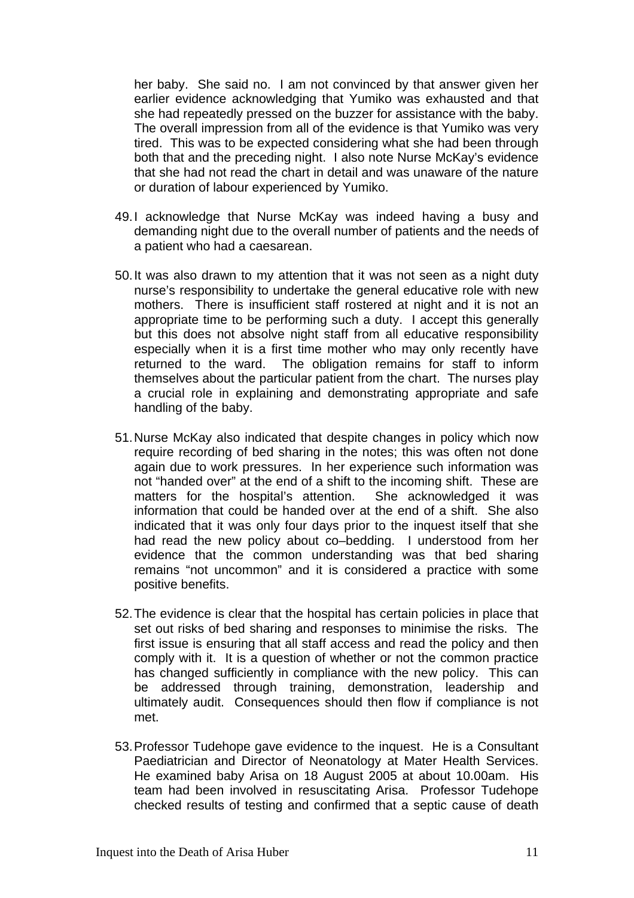her baby. She said no. I am not convinced by that answer given her earlier evidence acknowledging that Yumiko was exhausted and that she had repeatedly pressed on the buzzer for assistance with the baby. The overall impression from all of the evidence is that Yumiko was very tired. This was to be expected considering what she had been through both that and the preceding night. I also note Nurse McKay's evidence that she had not read the chart in detail and was unaware of the nature or duration of labour experienced by Yumiko.

- 49. I acknowledge that Nurse McKay was indeed having a busy and demanding night due to the overall number of patients and the needs of a patient who had a caesarean.
- 50. It was also drawn to my attention that it was not seen as a night duty nurse's responsibility to undertake the general educative role with new mothers. There is insufficient staff rostered at night and it is not an appropriate time to be performing such a duty. I accept this generally but this does not absolve night staff from all educative responsibility especially when it is a first time mother who may only recently have returned to the ward. The obligation remains for staff to inform themselves about the particular patient from the chart. The nurses play a crucial role in explaining and demonstrating appropriate and safe handling of the baby.
- 51. Nurse McKay also indicated that despite changes in policy which now require recording of bed sharing in the notes; this was often not done again due to work pressures. In her experience such information was not "handed over" at the end of a shift to the incoming shift. These are matters for the hospital's attention. She acknowledged it was information that could be handed over at the end of a shift. She also indicated that it was only four days prior to the inquest itself that she had read the new policy about co–bedding. I understood from her evidence that the common understanding was that bed sharing remains "not uncommon" and it is considered a practice with some positive benefits.
- 52. The evidence is clear that the hospital has certain policies in place that set out risks of bed sharing and responses to minimise the risks. The first issue is ensuring that all staff access and read the policy and then comply with it. It is a question of whether or not the common practice has changed sufficiently in compliance with the new policy. This can be addressed through training, demonstration, leadership and ultimately audit. Consequences should then flow if compliance is not met.
- 53. Professor Tudehope gave evidence to the inquest. He is a Consultant Paediatrician and Director of Neonatology at Mater Health Services. He examined baby Arisa on 18 August 2005 at about 10.00am. His team had been involved in resuscitating Arisa. Professor Tudehope checked results of testing and confirmed that a septic cause of death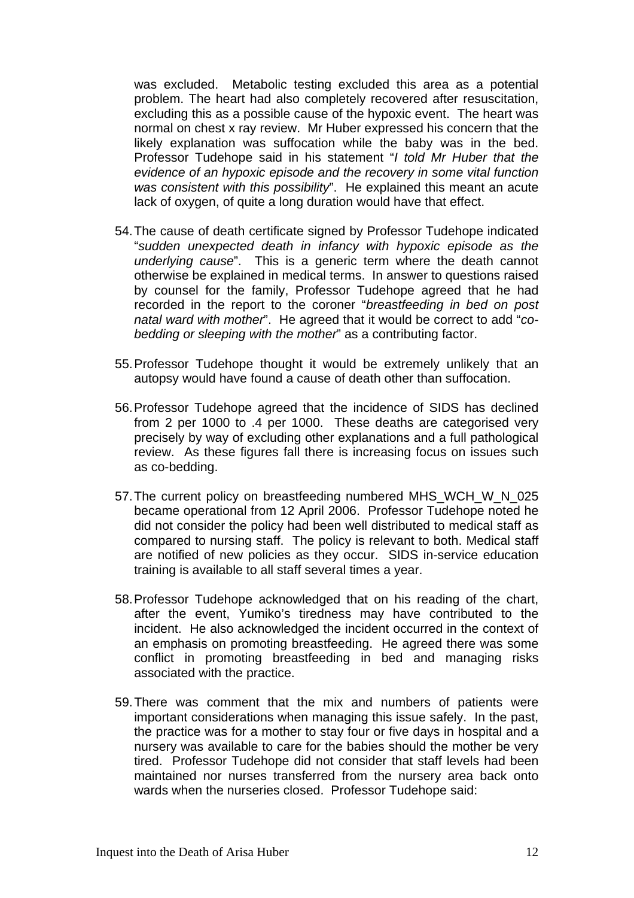was excluded. Metabolic testing excluded this area as a potential problem. The heart had also completely recovered after resuscitation, excluding this as a possible cause of the hypoxic event. The heart was normal on chest x ray review. Mr Huber expressed his concern that the likely explanation was suffocation while the baby was in the bed. Professor Tudehope said in his statement "*I told Mr Huber that the evidence of an hypoxic episode and the recovery in some vital function was consistent with this possibility*". He explained this meant an acute lack of oxygen, of quite a long duration would have that effect.

- 54. The cause of death certificate signed by Professor Tudehope indicated "*sudden unexpected death in infancy with hypoxic episode as the underlying cause*". This is a generic term where the death cannot otherwise be explained in medical terms. In answer to questions raised by counsel for the family, Professor Tudehope agreed that he had recorded in the report to the coroner "*breastfeeding in bed on post natal ward with mother*". He agreed that it would be correct to add "*cobedding or sleeping with the mother*" as a contributing factor.
- 55. Professor Tudehope thought it would be extremely unlikely that an autopsy would have found a cause of death other than suffocation.
- 56. Professor Tudehope agreed that the incidence of SIDS has declined from 2 per 1000 to .4 per 1000. These deaths are categorised very precisely by way of excluding other explanations and a full pathological review. As these figures fall there is increasing focus on issues such as co-bedding.
- 57. The current policy on breastfeeding numbered MHS\_WCH\_W\_N\_025 became operational from 12 April 2006. Professor Tudehope noted he did not consider the policy had been well distributed to medical staff as compared to nursing staff. The policy is relevant to both. Medical staff are notified of new policies as they occur. SIDS in-service education training is available to all staff several times a year.
- 58. Professor Tudehope acknowledged that on his reading of the chart, after the event, Yumiko's tiredness may have contributed to the incident. He also acknowledged the incident occurred in the context of an emphasis on promoting breastfeeding. He agreed there was some conflict in promoting breastfeeding in bed and managing risks associated with the practice.
- 59. There was comment that the mix and numbers of patients were important considerations when managing this issue safely. In the past, the practice was for a mother to stay four or five days in hospital and a nursery was available to care for the babies should the mother be very tired. Professor Tudehope did not consider that staff levels had been maintained nor nurses transferred from the nursery area back onto wards when the nurseries closed. Professor Tudehope said: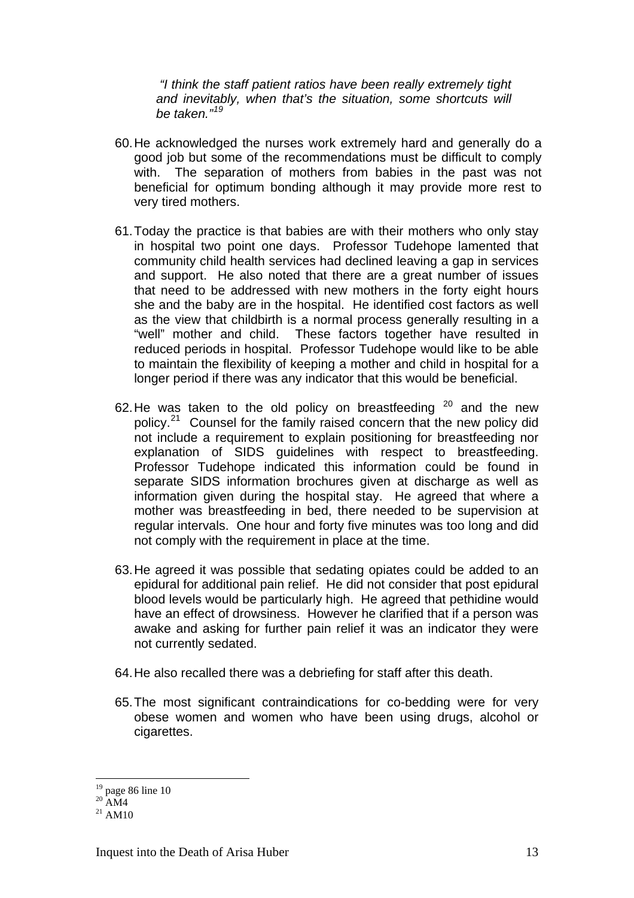*"I think the staff patient ratios have been really extremely tight and inevitably, when that's the situation, some shortcuts will be taken."[19](#page-12-0)*

- 60. He acknowledged the nurses work extremely hard and generally do a good job but some of the recommendations must be difficult to comply with. The separation of mothers from babies in the past was not beneficial for optimum bonding although it may provide more rest to very tired mothers.
- 61. Today the practice is that babies are with their mothers who only stay in hospital two point one days. Professor Tudehope lamented that community child health services had declined leaving a gap in services and support. He also noted that there are a great number of issues that need to be addressed with new mothers in the forty eight hours she and the baby are in the hospital. He identified cost factors as well as the view that childbirth is a normal process generally resulting in a "well" mother and child. These factors together have resulted in reduced periods in hospital. Professor Tudehope would like to be able to maintain the flexibility of keeping a mother and child in hospital for a longer period if there was any indicator that this would be beneficial.
- 62. He was taken to the old policy on breastfeeding  $20$  and the new policy.[21](#page-12-2) Counsel for the family raised concern that the new policy did not include a requirement to explain positioning for breastfeeding nor explanation of SIDS guidelines with respect to breastfeeding. Professor Tudehope indicated this information could be found in separate SIDS information brochures given at discharge as well as information given during the hospital stay. He agreed that where a mother was breastfeeding in bed, there needed to be supervision at regular intervals. One hour and forty five minutes was too long and did not comply with the requirement in place at the time.
- 63. He agreed it was possible that sedating opiates could be added to an epidural for additional pain relief. He did not consider that post epidural blood levels would be particularly high. He agreed that pethidine would have an effect of drowsiness. However he clarified that if a person was awake and asking for further pain relief it was an indicator they were not currently sedated.
- 64. He also recalled there was a debriefing for staff after this death.
- 65. The most significant contraindications for co-bedding were for very obese women and women who have been using drugs, alcohol or cigarettes.

<span id="page-12-0"></span> $19$  page 86 line 10

 $20$  AM4

<span id="page-12-2"></span><span id="page-12-1"></span> $^{21}$  AM10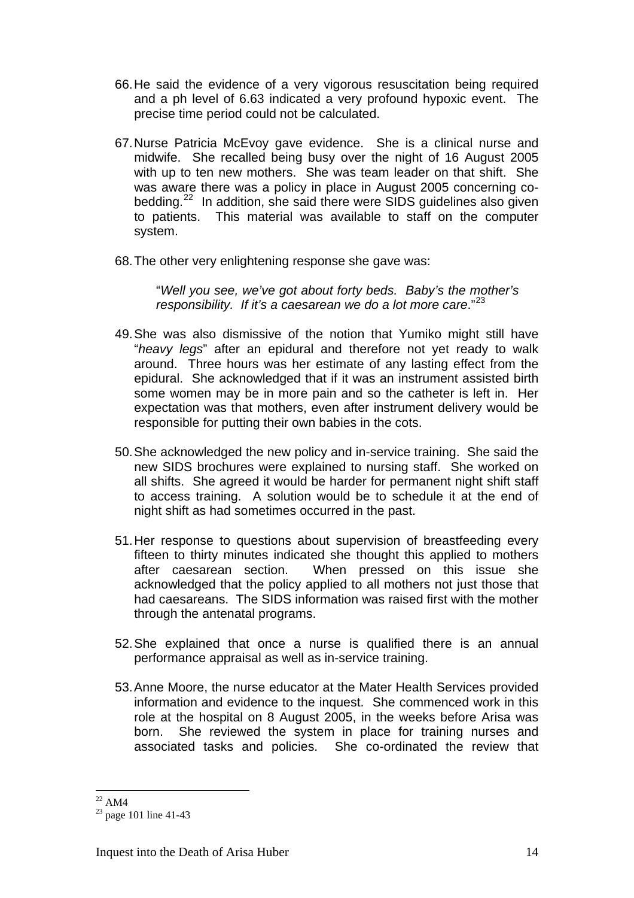- 66. He said the evidence of a very vigorous resuscitation being required and a ph level of 6.63 indicated a very profound hypoxic event. The precise time period could not be calculated.
- 67. Nurse Patricia McEvoy gave evidence. She is a clinical nurse and midwife. She recalled being busy over the night of 16 August 2005 with up to ten new mothers. She was team leader on that shift. She was aware there was a policy in place in August 2005 concerning co-bedding.<sup>[22](#page-13-0)</sup> In addition, she said there were SIDS guidelines also given to patients. This material was available to staff on the computer system.
- 68. The other very enlightening response she gave was:

"*Well you see, we've got about forty beds. Baby's the mother's*  responsibility. If it's a caesarean we do a lot more care."<sup>[23](#page-13-1)</sup>

- 49. She was also dismissive of the notion that Yumiko might still have "*heavy legs*" after an epidural and therefore not yet ready to walk around. Three hours was her estimate of any lasting effect from the epidural. She acknowledged that if it was an instrument assisted birth some women may be in more pain and so the catheter is left in. Her expectation was that mothers, even after instrument delivery would be responsible for putting their own babies in the cots.
- 50. She acknowledged the new policy and in-service training. She said the new SIDS brochures were explained to nursing staff. She worked on all shifts. She agreed it would be harder for permanent night shift staff to access training. A solution would be to schedule it at the end of night shift as had sometimes occurred in the past.
- 51. Her response to questions about supervision of breastfeeding every fifteen to thirty minutes indicated she thought this applied to mothers after caesarean section. When pressed on this issue she acknowledged that the policy applied to all mothers not just those that had caesareans. The SIDS information was raised first with the mother through the antenatal programs.
- 52. She explained that once a nurse is qualified there is an annual performance appraisal as well as in-service training.
- 53. Anne Moore, the nurse educator at the Mater Health Services provided information and evidence to the inquest. She commenced work in this role at the hospital on 8 August 2005, in the weeks before Arisa was born. She reviewed the system in place for training nurses and associated tasks and policies. She co-ordinated the review that

 $\overline{a}$  $^{22}$  AM4

<span id="page-13-1"></span><span id="page-13-0"></span> $23$  page 101 line 41-43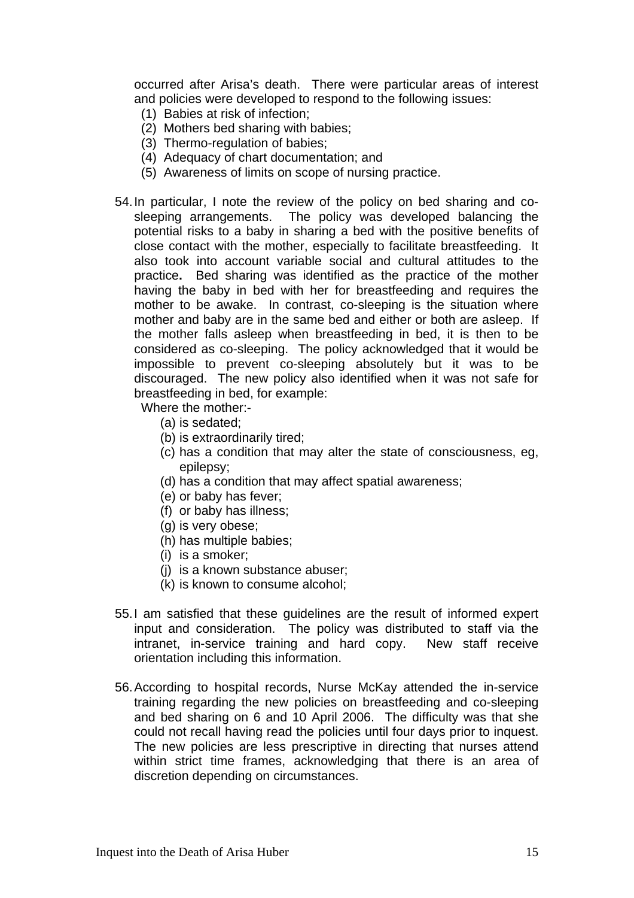occurred after Arisa's death. There were particular areas of interest and policies were developed to respond to the following issues:

- (1) Babies at risk of infection;
- (2) Mothers bed sharing with babies;
- (3) Thermo-regulation of babies;
- (4) Adequacy of chart documentation; and
- (5) Awareness of limits on scope of nursing practice.
- 54. In particular, I note the review of the policy on bed sharing and cosleeping arrangements. The policy was developed balancing the potential risks to a baby in sharing a bed with the positive benefits of close contact with the mother, especially to facilitate breastfeeding. It also took into account variable social and cultural attitudes to the practice**.** Bed sharing was identified as the practice of the mother having the baby in bed with her for breastfeeding and requires the mother to be awake. In contrast, co-sleeping is the situation where mother and baby are in the same bed and either or both are asleep. If the mother falls asleep when breastfeeding in bed, it is then to be considered as co-sleeping. The policy acknowledged that it would be impossible to prevent co-sleeping absolutely but it was to be discouraged. The new policy also identified when it was not safe for breastfeeding in bed, for example:

Where the mother:-

- (a) is sedated;
- (b) is extraordinarily tired;
- (c) has a condition that may alter the state of consciousness, eg, epilepsy;
- (d) has a condition that may affect spatial awareness;
- (e) or baby has fever;
- (f) or baby has illness;
- (g) is very obese;
- (h) has multiple babies;
- (i) is a smoker;
- (j) is a known substance abuser;
- (k) is known to consume alcohol;
- 55. I am satisfied that these guidelines are the result of informed expert input and consideration. The policy was distributed to staff via the intranet, in-service training and hard copy. New staff receive orientation including this information.
- 56. According to hospital records, Nurse McKay attended the in-service training regarding the new policies on breastfeeding and co-sleeping and bed sharing on 6 and 10 April 2006. The difficulty was that she could not recall having read the policies until four days prior to inquest. The new policies are less prescriptive in directing that nurses attend within strict time frames, acknowledging that there is an area of discretion depending on circumstances.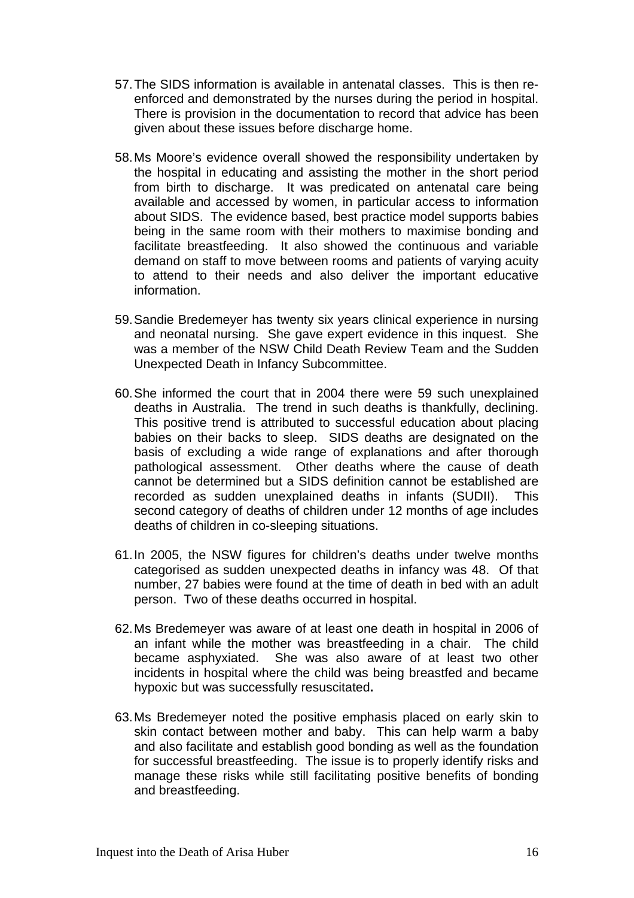- 57. The SIDS information is available in antenatal classes. This is then reenforced and demonstrated by the nurses during the period in hospital. There is provision in the documentation to record that advice has been given about these issues before discharge home.
- 58. Ms Moore's evidence overall showed the responsibility undertaken by the hospital in educating and assisting the mother in the short period from birth to discharge. It was predicated on antenatal care being available and accessed by women, in particular access to information about SIDS. The evidence based, best practice model supports babies being in the same room with their mothers to maximise bonding and facilitate breastfeeding. It also showed the continuous and variable demand on staff to move between rooms and patients of varying acuity to attend to their needs and also deliver the important educative information.
- 59. Sandie Bredemeyer has twenty six years clinical experience in nursing and neonatal nursing. She gave expert evidence in this inquest. She was a member of the NSW Child Death Review Team and the Sudden Unexpected Death in Infancy Subcommittee.
- 60. She informed the court that in 2004 there were 59 such unexplained deaths in Australia. The trend in such deaths is thankfully, declining. This positive trend is attributed to successful education about placing babies on their backs to sleep. SIDS deaths are designated on the basis of excluding a wide range of explanations and after thorough pathological assessment. Other deaths where the cause of death cannot be determined but a SIDS definition cannot be established are recorded as sudden unexplained deaths in infants (SUDII). This second category of deaths of children under 12 months of age includes deaths of children in co-sleeping situations.
- 61. In 2005, the NSW figures for children's deaths under twelve months categorised as sudden unexpected deaths in infancy was 48. Of that number, 27 babies were found at the time of death in bed with an adult person. Two of these deaths occurred in hospital.
- 62. Ms Bredemeyer was aware of at least one death in hospital in 2006 of an infant while the mother was breastfeeding in a chair. The child became asphyxiated. She was also aware of at least two other incidents in hospital where the child was being breastfed and became hypoxic but was successfully resuscitated**.**
- 63. Ms Bredemeyer noted the positive emphasis placed on early skin to skin contact between mother and baby. This can help warm a baby and also facilitate and establish good bonding as well as the foundation for successful breastfeeding. The issue is to properly identify risks and manage these risks while still facilitating positive benefits of bonding and breastfeeding.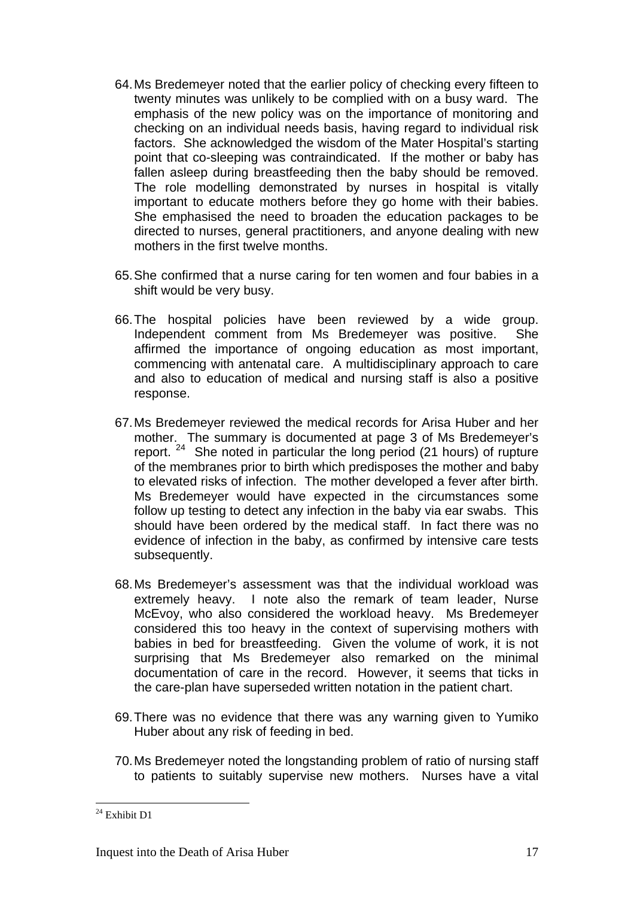- 64. Ms Bredemeyer noted that the earlier policy of checking every fifteen to twenty minutes was unlikely to be complied with on a busy ward. The emphasis of the new policy was on the importance of monitoring and checking on an individual needs basis, having regard to individual risk factors. She acknowledged the wisdom of the Mater Hospital's starting point that co-sleeping was contraindicated. If the mother or baby has fallen asleep during breastfeeding then the baby should be removed. The role modelling demonstrated by nurses in hospital is vitally important to educate mothers before they go home with their babies. She emphasised the need to broaden the education packages to be directed to nurses, general practitioners, and anyone dealing with new mothers in the first twelve months.
- 65. She confirmed that a nurse caring for ten women and four babies in a shift would be very busy.
- 66. The hospital policies have been reviewed by a wide group. Independent comment from Ms Bredemeyer was positive. She affirmed the importance of ongoing education as most important, commencing with antenatal care. A multidisciplinary approach to care and also to education of medical and nursing staff is also a positive response.
- 67. Ms Bredemeyer reviewed the medical records for Arisa Huber and her mother. The summary is documented at page 3 of Ms Bredemeyer's report.<sup>[24](#page-16-0)</sup> She noted in particular the long period (21 hours) of rupture of the membranes prior to birth which predisposes the mother and baby to elevated risks of infection. The mother developed a fever after birth. Ms Bredemeyer would have expected in the circumstances some follow up testing to detect any infection in the baby via ear swabs. This should have been ordered by the medical staff. In fact there was no evidence of infection in the baby, as confirmed by intensive care tests subsequently.
- 68. Ms Bredemeyer's assessment was that the individual workload was extremely heavy. I note also the remark of team leader, Nurse McEvoy, who also considered the workload heavy. Ms Bredemeyer considered this too heavy in the context of supervising mothers with babies in bed for breastfeeding. Given the volume of work, it is not surprising that Ms Bredemeyer also remarked on the minimal documentation of care in the record. However, it seems that ticks in the care-plan have superseded written notation in the patient chart.
- 69. There was no evidence that there was any warning given to Yumiko Huber about any risk of feeding in bed.
- 70. Ms Bredemeyer noted the longstanding problem of ratio of nursing staff to patients to suitably supervise new mothers. Nurses have a vital

<span id="page-16-0"></span><sup>&</sup>lt;sup>24</sup> Exhibit D1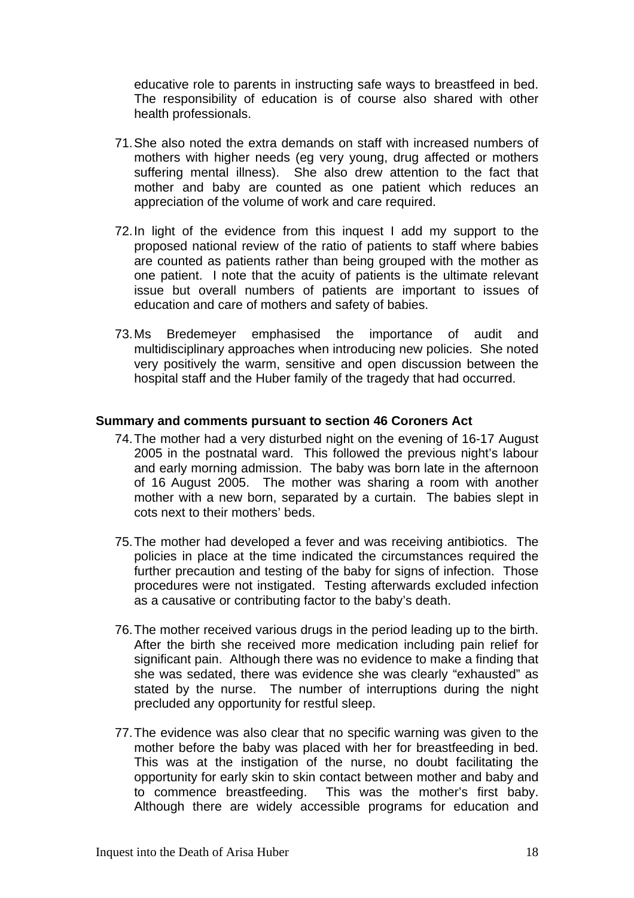educative role to parents in instructing safe ways to breastfeed in bed. The responsibility of education is of course also shared with other health professionals.

- 71. She also noted the extra demands on staff with increased numbers of mothers with higher needs (eg very young, drug affected or mothers suffering mental illness). She also drew attention to the fact that mother and baby are counted as one patient which reduces an appreciation of the volume of work and care required.
- 72. In light of the evidence from this inquest I add my support to the proposed national review of the ratio of patients to staff where babies are counted as patients rather than being grouped with the mother as one patient. I note that the acuity of patients is the ultimate relevant issue but overall numbers of patients are important to issues of education and care of mothers and safety of babies.
- 73. Ms Bredemeyer emphasised the importance of audit and multidisciplinary approaches when introducing new policies. She noted very positively the warm, sensitive and open discussion between the hospital staff and the Huber family of the tragedy that had occurred.

#### **Summary and comments pursuant to section 46 Coroners Act**

- 74. The mother had a very disturbed night on the evening of 16-17 August 2005 in the postnatal ward. This followed the previous night's labour and early morning admission. The baby was born late in the afternoon of 16 August 2005. The mother was sharing a room with another mother with a new born, separated by a curtain. The babies slept in cots next to their mothers' beds.
- 75. The mother had developed a fever and was receiving antibiotics. The policies in place at the time indicated the circumstances required the further precaution and testing of the baby for signs of infection. Those procedures were not instigated. Testing afterwards excluded infection as a causative or contributing factor to the baby's death.
- 76. The mother received various drugs in the period leading up to the birth. After the birth she received more medication including pain relief for significant pain. Although there was no evidence to make a finding that she was sedated, there was evidence she was clearly "exhausted" as stated by the nurse. The number of interruptions during the night precluded any opportunity for restful sleep.
- 77. The evidence was also clear that no specific warning was given to the mother before the baby was placed with her for breastfeeding in bed. This was at the instigation of the nurse, no doubt facilitating the opportunity for early skin to skin contact between mother and baby and to commence breastfeeding. This was the mother's first baby. Although there are widely accessible programs for education and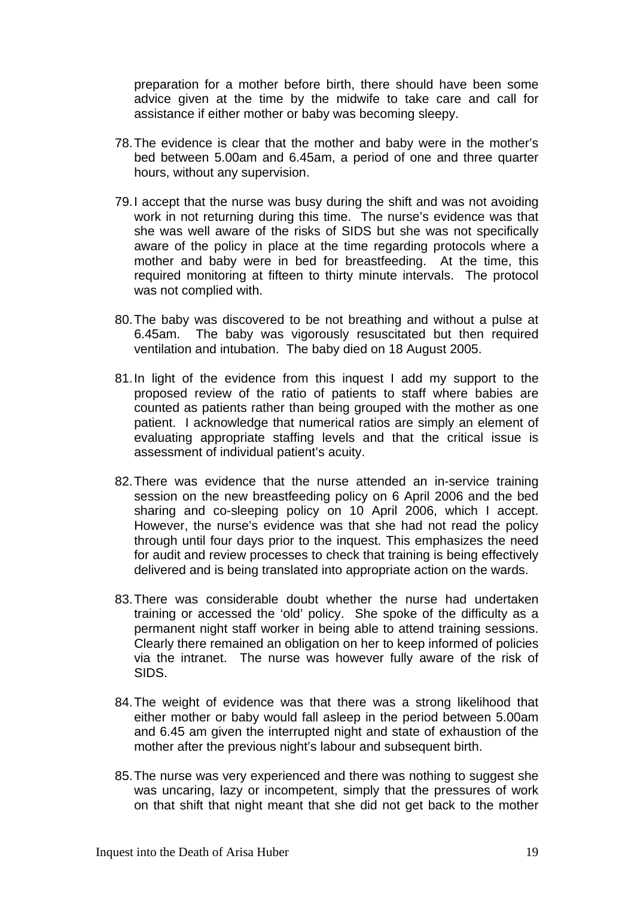preparation for a mother before birth, there should have been some advice given at the time by the midwife to take care and call for assistance if either mother or baby was becoming sleepy.

- 78. The evidence is clear that the mother and baby were in the mother's bed between 5.00am and 6.45am, a period of one and three quarter hours, without any supervision.
- 79. I accept that the nurse was busy during the shift and was not avoiding work in not returning during this time. The nurse's evidence was that she was well aware of the risks of SIDS but she was not specifically aware of the policy in place at the time regarding protocols where a mother and baby were in bed for breastfeeding. At the time, this required monitoring at fifteen to thirty minute intervals. The protocol was not complied with.
- 80. The baby was discovered to be not breathing and without a pulse at 6.45am. The baby was vigorously resuscitated but then required ventilation and intubation. The baby died on 18 August 2005.
- 81. In light of the evidence from this inquest I add my support to the proposed review of the ratio of patients to staff where babies are counted as patients rather than being grouped with the mother as one patient. I acknowledge that numerical ratios are simply an element of evaluating appropriate staffing levels and that the critical issue is assessment of individual patient's acuity.
- 82. There was evidence that the nurse attended an in-service training session on the new breastfeeding policy on 6 April 2006 and the bed sharing and co-sleeping policy on 10 April 2006, which I accept. However, the nurse's evidence was that she had not read the policy through until four days prior to the inquest. This emphasizes the need for audit and review processes to check that training is being effectively delivered and is being translated into appropriate action on the wards.
- 83. There was considerable doubt whether the nurse had undertaken training or accessed the 'old' policy. She spoke of the difficulty as a permanent night staff worker in being able to attend training sessions. Clearly there remained an obligation on her to keep informed of policies via the intranet. The nurse was however fully aware of the risk of SIDS.
- 84. The weight of evidence was that there was a strong likelihood that either mother or baby would fall asleep in the period between 5.00am and 6.45 am given the interrupted night and state of exhaustion of the mother after the previous night's labour and subsequent birth.
- 85. The nurse was very experienced and there was nothing to suggest she was uncaring, lazy or incompetent, simply that the pressures of work on that shift that night meant that she did not get back to the mother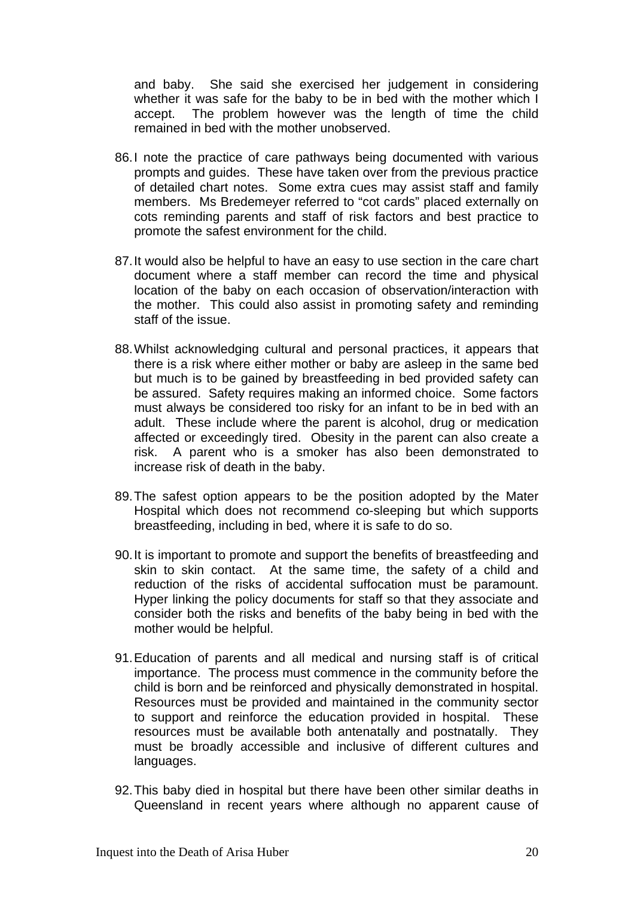and baby. She said she exercised her judgement in considering whether it was safe for the baby to be in bed with the mother which I accept. The problem however was the length of time the child remained in bed with the mother unobserved.

- 86. I note the practice of care pathways being documented with various prompts and guides. These have taken over from the previous practice of detailed chart notes. Some extra cues may assist staff and family members. Ms Bredemeyer referred to "cot cards" placed externally on cots reminding parents and staff of risk factors and best practice to promote the safest environment for the child.
- 87. It would also be helpful to have an easy to use section in the care chart document where a staff member can record the time and physical location of the baby on each occasion of observation/interaction with the mother. This could also assist in promoting safety and reminding staff of the issue.
- 88. Whilst acknowledging cultural and personal practices, it appears that there is a risk where either mother or baby are asleep in the same bed but much is to be gained by breastfeeding in bed provided safety can be assured. Safety requires making an informed choice. Some factors must always be considered too risky for an infant to be in bed with an adult. These include where the parent is alcohol, drug or medication affected or exceedingly tired. Obesity in the parent can also create a risk. A parent who is a smoker has also been demonstrated to increase risk of death in the baby.
- 89. The safest option appears to be the position adopted by the Mater Hospital which does not recommend co-sleeping but which supports breastfeeding, including in bed, where it is safe to do so.
- 90. It is important to promote and support the benefits of breastfeeding and skin to skin contact. At the same time, the safety of a child and reduction of the risks of accidental suffocation must be paramount. Hyper linking the policy documents for staff so that they associate and consider both the risks and benefits of the baby being in bed with the mother would be helpful.
- 91. Education of parents and all medical and nursing staff is of critical importance. The process must commence in the community before the child is born and be reinforced and physically demonstrated in hospital. Resources must be provided and maintained in the community sector to support and reinforce the education provided in hospital. These resources must be available both antenatally and postnatally. They must be broadly accessible and inclusive of different cultures and languages.
- 92. This baby died in hospital but there have been other similar deaths in Queensland in recent years where although no apparent cause of